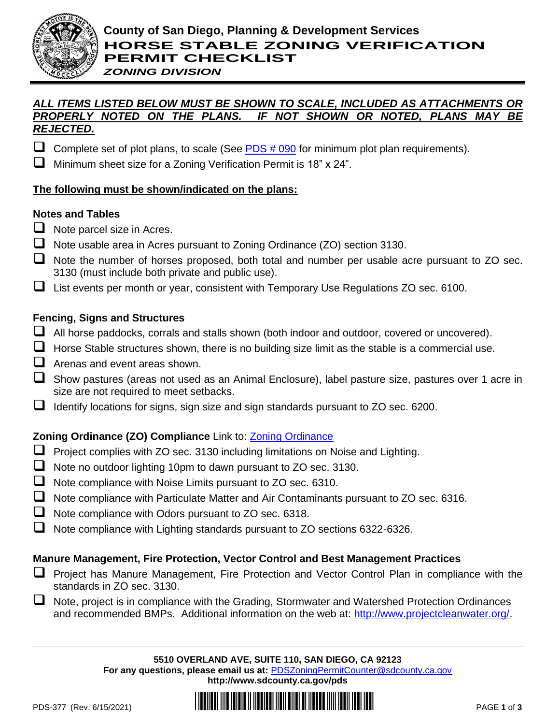

## *ZONING DIVISION*

#### *ALL ITEMS LISTED BELOW MUST BE SHOWN TO SCALE, INCLUDED AS ATTACHMENTS OR PROPERLY NOTED ON THE PLANS. IF NOT SHOWN OR NOTED, PLANS MAY BE REJECTED.*

- Complete set of plot plans, to scale (See  $PDS # 090$  for minimum plot plan requirements).
- ❑ Minimum sheet size for a Zoning Verification Permit is 18" x 24".

# **The following must be shown/indicated on the plans:**

## **Notes and Tables**

- □ Note parcel size in Acres.
- ❑ Note usable area in Acres pursuant to Zoning Ordinance (ZO) section 3130.
- Note the number of horses proposed, both total and number per usable acre pursuant to ZO sec. 3130 (must include both private and public use).
- ❑ List events per month or year, consistent with Temporary Use Regulations ZO sec. 6100.

## **Fencing, Signs and Structures**

- ❑ All horse paddocks, corrals and stalls shown (both indoor and outdoor, covered or uncovered).
- □ Horse Stable structures shown, there is no building size limit as the stable is a commercial use.
- $\Box$  Arenas and event areas shown.
- ❑ Show pastures (areas not used as an Animal Enclosure), label pasture size, pastures over 1 acre in size are not required to meet setbacks.
- ❑ Identify locations for signs, sign size and sign standards pursuant to ZO sec. 6200.

# **Zoning Ordinance (ZO) Compliance** Link to: **Zoning Ordinance**

- ❑ Project complies with ZO sec. 3130 including limitations on Noise and Lighting.
- ❑ Note no outdoor lighting 10pm to dawn pursuant to ZO sec. 3130.
- ❑ Note compliance with Noise Limits pursuant to ZO sec. 6310.
- ❑ Note compliance with Particulate Matter and Air Contaminants pursuant to ZO sec. 6316.
- ❑ Note compliance with Odors pursuant to ZO sec. 6318.
- ❑ Note compliance with Lighting standards pursuant to ZO sections 6322-6326.

# **Manure Management, Fire Protection, Vector Control and Best Management Practices**

- ❑ Project has Manure Management, Fire Protection and Vector Control Plan in compliance with the standards in ZO sec. 3130.
- ❑ Note, project is in compliance with the Grading, Stormwater and Watershed Protection Ordinances and recommended BMPs. Additional information on the web at: [http://www.projectcleanwater.org/.](http://www.projectcleanwater.org/)

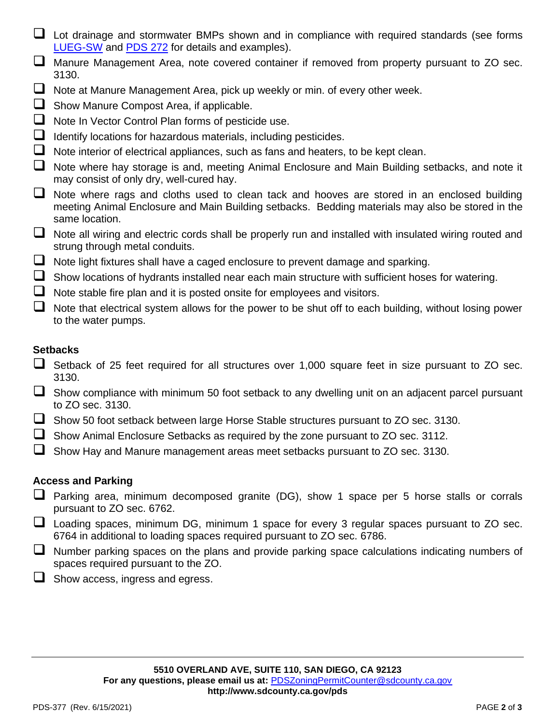- $\Box$  Lot drainage and stormwater BMPs shown and in compliance with required standards (see forms [LUEG-SW](http://www.sdcounty.ca.gov/pds/docs/LUEG-SW.pdf) and [PDS 272](http://www.sdcounty.ca.gov/pds/docs/pds272.pdf) for details and examples).
- ❑ Manure Management Area, note covered container if removed from property pursuant to ZO sec. 3130.
- □ Note at Manure Management Area, pick up weekly or min. of every other week.
- □ Show Manure Compost Area, if applicable.
- □ Note In Vector Control Plan forms of pesticide use.
- □ Identify locations for hazardous materials, including pesticides.
- ❑ Note interior of electrical appliances, such as fans and heaters, to be kept clean.
- Note where hay storage is and, meeting Animal Enclosure and Main Building setbacks, and note it may consist of only dry, well-cured hay.
- $\Box$  Note where rags and cloths used to clean tack and hooves are stored in an enclosed building meeting Animal Enclosure and Main Building setbacks. Bedding materials may also be stored in the same location.
- ❑ Note all wiring and electric cords shall be properly run and installed with insulated wiring routed and strung through metal conduits.
- ❑ Note light fixtures shall have a caged enclosure to prevent damage and sparking.
- $\Box$  Show locations of hydrants installed near each main structure with sufficient hoses for watering.
- $\Box$  Note stable fire plan and it is posted onsite for employees and visitors.
- Note that electrical system allows for the power to be shut off to each building, without losing power to the water pumps.

### **Setbacks**

- ❑ Setback of 25 feet required for all structures over 1,000 square feet in size pursuant to ZO sec. 3130.
- $\Box$  Show compliance with minimum 50 foot setback to any dwelling unit on an adjacent parcel pursuant to ZO sec. 3130.
- ❑ Show 50 foot setback between large Horse Stable structures pursuant to ZO sec. 3130.
- $\Box$  Show Animal Enclosure Setbacks as required by the zone pursuant to ZO sec. 3112.
- $\Box$  Show Hay and Manure management areas meet setbacks pursuant to ZO sec. 3130.

### **Access and Parking**

- ❑ Parking area, minimum decomposed granite (DG), show 1 space per 5 horse stalls or corrals pursuant to ZO sec. 6762.
- $\Box$  Loading spaces, minimum DG, minimum 1 space for every 3 regular spaces pursuant to ZO sec. 6764 in additional to loading spaces required pursuant to ZO sec. 6786.
- $\Box$  Number parking spaces on the plans and provide parking space calculations indicating numbers of spaces required pursuant to the ZO.
- ❑ Show access, ingress and egress.